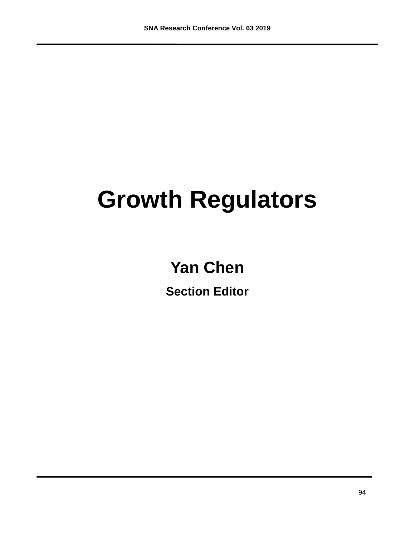## **Growth Regulators**

## **Yan Chen**

**Section Editor**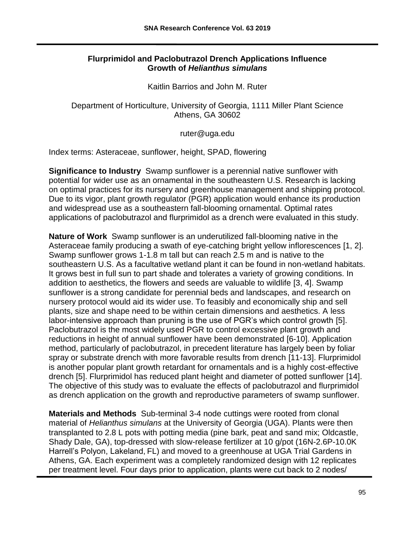## **Flurprimidol and Paclobutrazol Drench Applications Influence Growth of** *Helianthus simulans*

Kaitlin Barrios and John M. Ruter

Department of Horticulture, University of Georgia, 1111 Miller Plant Science Athens, GA 30602

ruter@uga.edu

Index terms: Asteraceae, sunflower, height, SPAD, flowering

**Significance to Industry** Swamp sunflower is a perennial native sunflower with potential for wider use as an ornamental in the southeastern U.S. Research is lacking on optimal practices for its nursery and greenhouse management and shipping protocol. Due to its vigor, plant growth regulator (PGR) application would enhance its production and widespread use as a southeastern fall-blooming ornamental. Optimal rates applications of paclobutrazol and flurprimidol as a drench were evaluated in this study.

**Nature of Work** Swamp sunflower is an underutilized fall-blooming native in the Asteraceae family producing a swath of eye-catching bright yellow inflorescences [1, 2]. Swamp sunflower grows 1-1.8 m tall but can reach 2.5 m and is native to the southeastern U.S. As a facultative wetland plant it can be found in non-wetland habitats. It grows best in full sun to part shade and tolerates a variety of growing conditions. In addition to aesthetics, the flowers and seeds are valuable to wildlife [3, 4]. Swamp sunflower is a strong candidate for perennial beds and landscapes, and research on nursery protocol would aid its wider use. To feasibly and economically ship and sell plants, size and shape need to be within certain dimensions and aesthetics. A less labor-intensive approach than pruning is the use of PGR's which control growth [5]. Paclobutrazol is the most widely used PGR to control excessive plant growth and reductions in height of annual sunflower have been demonstrated [6-10]. Application method, particularly of paclobutrazol, in precedent literature has largely been by foliar spray or substrate drench with more favorable results from drench [11-13]. Flurprimidol is another popular plant growth retardant for ornamentals and is a highly cost-effective drench [5]. Flurprimidol has reduced plant height and diameter of potted sunflower [14]. The objective of this study was to evaluate the effects of paclobutrazol and flurprimidol as drench application on the growth and reproductive parameters of swamp sunflower.

**Materials and Methods** Sub-terminal 3-4 node cuttings were rooted from clonal material of *Helianthus simulans* at the University of Georgia (UGA). Plants were then transplanted to 2.8 L pots with potting media (pine bark, peat and sand mix; Oldcastle, Shady Dale, GA), top-dressed with slow-release fertilizer at 10 g/pot (16N-2.6P-10.0K Harrell's Polyon, Lakeland, FL) and moved to a greenhouse at UGA Trial Gardens in Athens, GA. Each experiment was a completely randomized design with 12 replicates per treatment level. Four days prior to application, plants were cut back to 2 nodes/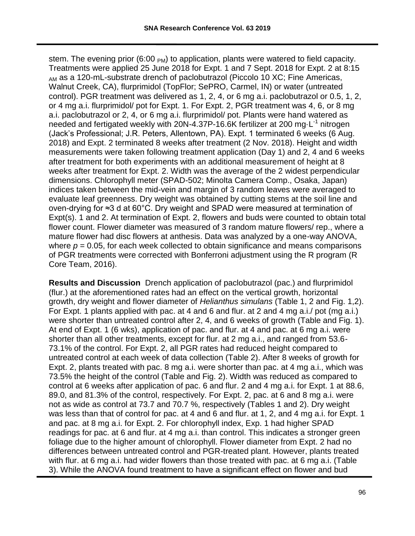stem. The evening prior (6:00  $_{PM}$ ) to application, plants were watered to field capacity. Treatments were applied 25 June 2018 for Expt. 1 and 7 Sept. 2018 for Expt. 2 at 8:15 <sub>AM</sub> as a 120-mL-substrate drench of paclobutrazol (Piccolo 10 XC; Fine Americas, Walnut Creek, CA), flurprimidol (TopFlor; SePRO, Carmel, IN) or water (untreated control). PGR treatment was delivered as 1, 2, 4, or 6 mg a.i. paclobutrazol or 0.5, 1, 2, or 4 mg a.i. flurprimidol/ pot for Expt. 1. For Expt. 2, PGR treatment was 4, 6, or 8 mg a.i. paclobutrazol or 2, 4, or 6 mg a.i. flurprimidol/ pot. Plants were hand watered as needed and fertigated weekly with 20N-4.37P-16.6K fertilizer at 200 mg·L<sup>-1</sup> nitrogen (Jack's Professional; J.R. Peters, Allentown, PA). Expt. 1 terminated 6 weeks (6 Aug. 2018) and Expt. 2 terminated 8 weeks after treatment (2 Nov. 2018). Height and width measurements were taken following treatment application (Day 1) and 2, 4 and 6 weeks after treatment for both experiments with an additional measurement of height at 8 weeks after treatment for Expt. 2. Width was the average of the 2 widest perpendicular dimensions. Chlorophyll meter (SPAD-502; Minolta Camera Comp., Osaka, Japan) indices taken between the mid-vein and margin of 3 random leaves were averaged to evaluate leaf greenness. Dry weight was obtained by cutting stems at the soil line and oven-drying for ≈3 d at 60°C. Dry weight and SPAD were measured at termination of Expt(s). 1 and 2. At termination of Expt. 2, flowers and buds were counted to obtain total flower count. Flower diameter was measured of 3 random mature flowers/ rep., where a mature flower had disc flowers at anthesis. Data was analyzed by a one-way ANOVA, where  $p = 0.05$ , for each week collected to obtain significance and means comparisons of PGR treatments were corrected with Bonferroni adjustment using the R program (R Core Team, 2016).

**Results and Discussion** Drench application of paclobutrazol (pac.) and flurprimidol (flur.) at the aforementioned rates had an effect on the vertical growth, horizontal growth, dry weight and flower diameter of *Helianthus simulans* (Table 1, 2 and Fig. 1,2). For Expt. 1 plants applied with pac. at 4 and 6 and flur. at 2 and 4 mg a.i./ pot (mg a.i.) were shorter than untreated control after 2, 4, and 6 weeks of growth (Table and Fig. 1). At end of Expt. 1 (6 wks), application of pac. and flur. at 4 and pac. at 6 mg a.i. were shorter than all other treatments, except for flur. at 2 mg a.i., and ranged from 53.6- 73.1% of the control. For Expt. 2, all PGR rates had reduced height compared to untreated control at each week of data collection (Table 2). After 8 weeks of growth for Expt. 2, plants treated with pac. 8 mg a.i. were shorter than pac. at 4 mg a.i., which was 73.5% the height of the control (Table and Fig. 2). Width was reduced as compared to control at 6 weeks after application of pac. 6 and flur. 2 and 4 mg a.i. for Expt. 1 at 88.6, 89.0, and 81.3% of the control, respectively. For Expt. 2, pac. at 6 and 8 mg a.i. were not as wide as control at 73.7 and 70.7 %, respectively (Tables 1 and 2). Dry weight was less than that of control for pac. at 4 and 6 and flur. at 1, 2, and 4 mg a.i. for Expt. 1 and pac. at 8 mg a.i. for Expt. 2. For chlorophyll index, Exp. 1 had higher SPAD readings for pac. at 6 and flur. at 4 mg a.i. than control. This indicates a stronger green foliage due to the higher amount of chlorophyll. Flower diameter from Expt. 2 had no differences between untreated control and PGR-treated plant. However, plants treated with flur. at 6 mg a.i. had wider flowers than those treated with pac. at 6 mg a.i. (Table 3). While the ANOVA found treatment to have a significant effect on flower and bud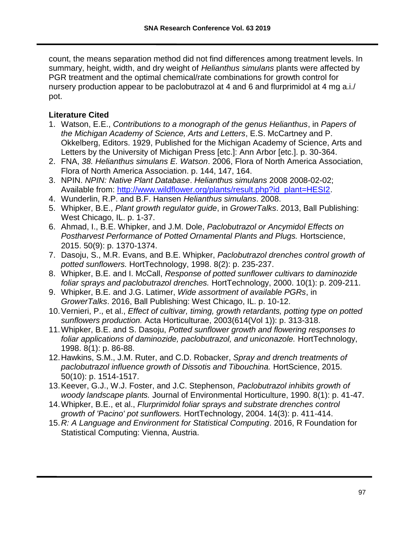count, the means separation method did not find differences among treatment levels. In summary, height, width, and dry weight of *Helianthus simulans* plants were affected by PGR treatment and the optimal chemical/rate combinations for growth control for nursery production appear to be paclobutrazol at 4 and 6 and flurprimidol at 4 mg a.i./ pot.

## **Literature Cited**

- 1. Watson, E.E., *Contributions to a monograph of the genus Helianthus*, in *Papers of the Michigan Academy of Science, Arts and Letters*, E.S. McCartney and P. Okkelberg, Editors. 1929, Published for the Michigan Academy of Science, Arts and Letters by the University of Michigan Press [etc.]: Ann Arbor [etc.]. p. 30-364.
- 2. FNA, *38. Helianthus simulans E. Watson*. 2006, Flora of North America Association, Flora of North America Association. p. 144, 147, 164.
- 3. NPIN. *NPIN: Native Plant Database*. *Helianthus simulans* 2008 2008-02-02; Available from: [http://www.wildflower.org/plants/result.php?id\\_plant=HESI2.](http://www.wildflower.org/plants/result.php?id_plant=HESI2)
- 4. Wunderlin, R.P. and B.F. Hansen *Helianthus simulans*. 2008.
- 5. Whipker, B.E., *Plant growth regulator guide*, in *GrowerTalks*. 2013, Ball Publishing: West Chicago, IL. p. 1-37.
- 6. Ahmad, I., B.E. Whipker, and J.M. Dole, *Paclobutrazol or Ancymidol Effects on Postharvest Performance of Potted Ornamental Plants and Plugs.* Hortscience, 2015. 50(9): p. 1370-1374.
- 7. Dasoju, S., M.R. Evans, and B.E. Whipker, *Paclobutrazol drenches control growth of potted sunflowers.* HortTechnology, 1998. 8(2): p. 235-237.
- 8. Whipker, B.E. and I. McCall, *Response of potted sunflower cultivars to daminozide foliar sprays and paclobutrazol drenches.* HortTechnology, 2000. 10(1): p. 209-211.
- 9. Whipker, B.E. and J.G. Latimer, *Wide assortment of available PGRs*, in *GrowerTalks*. 2016, Ball Publishing: West Chicago, IL. p. 10-12.
- 10.Vernieri, P., et al., *Effect of cultivar, timing, growth retardants, potting type on potted sunflowers production.* Acta Horticulturae, 2003(614(Vol 1)): p. 313-318.
- 11.Whipker, B.E. and S. Dasoju, *Potted sunflower growth and flowering responses to foliar applications of daminozide, paclobutrazol, and uniconazole.* HortTechnology, 1998. 8(1): p. 86-88.
- 12.Hawkins, S.M., J.M. Ruter, and C.D. Robacker, *Spray and drench treatments of paclobutrazol influence growth of Dissotis and Tibouchina.* HortScience, 2015. 50(10): p. 1514-1517.
- 13.Keever, G.J., W.J. Foster, and J.C. Stephenson, *Paclobutrazol inhibits growth of woody landscape plants.* Journal of Environmental Horticulture, 1990. 8(1): p. 41-47.
- 14.Whipker, B.E., et al., *Flurprimidol foliar sprays and substrate drenches control growth of 'Pacino' pot sunflowers.* HortTechnology, 2004. 14(3): p. 411-414.
- 15.*R: A Language and Environment for Statistical Computing*. 2016, R Foundation for Statistical Computing: Vienna, Austria.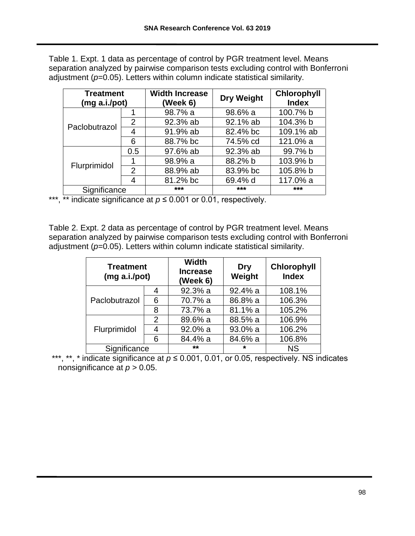Table 1. Expt. 1 data as percentage of control by PGR treatment level. Means separation analyzed by pairwise comparison tests excluding control with Bonferroni adjustment (*p*=0.05). Letters within column indicate statistical similarity.

| <b>Treatment</b><br>(mg a.i./pot) |                | <b>Width Increase</b><br>(Week 6) | <b>Dry Weight</b> | Chlorophyll<br><b>Index</b> |
|-----------------------------------|----------------|-----------------------------------|-------------------|-----------------------------|
| Paclobutrazol                     |                | 98.7% a                           | 98.6% a           | 100.7% b                    |
|                                   | 2              | 92.3% ab                          | 92.1% ab          | 104.3% b                    |
|                                   | 4              | 91.9% ab<br>82.4% bc              |                   | 109.1% ab                   |
|                                   | 6              | 88.7% bc                          | 74.5% cd          | 121.0% a                    |
| Flurprimidol                      | 0.5            | 97.6% ab                          | 92.3% ab          | 99.7% b                     |
|                                   |                | 98.9% a                           | 88.2% b           | 103.9% b                    |
|                                   | $\mathfrak{p}$ | 88.9% ab                          | 83.9% bc          | 105.8% b                    |
|                                   | 4              | 81.2% bc                          | 69.4% d           | 117.0% a                    |
| Significance                      |                | ***                               | $***$             | ***                         |

\*\*\*, \*\* indicate significance at *p* ≤ 0.001 or 0.01, respectively.

Table 2. Expt. 2 data as percentage of control by PGR treatment level. Means separation analyzed by pairwise comparison tests excluding control with Bonferroni adjustment (*p*=0.05). Letters within column indicate statistical similarity.

| <b>Treatment</b><br>(mg a.i./pot) |                | <b>Width</b><br><b>Increase</b><br>(Week 6) | Dry<br>Weight | Chlorophyll<br><b>Index</b> |
|-----------------------------------|----------------|---------------------------------------------|---------------|-----------------------------|
| Paclobutrazol                     | 4              | 92.3% a                                     | 92.4% a       | 108.1%                      |
|                                   | 6              | 70.7% a                                     | 86.8% a       | 106.3%                      |
|                                   | 8              | 73.7% a                                     | 81.1% a       | 105.2%                      |
| Flurprimidol                      | $\overline{2}$ | 89.6% a                                     | 88.5% a       | 106.9%                      |
|                                   | 4              | 92.0% a                                     | 93.0% a       | 106.2%                      |
|                                   | 6              | 84.4% a                                     | 84.6% a       | 106.8%                      |
| Significance                      |                | $***$                                       | $\star$       | <b>NS</b>                   |

\*\*\*, \*\*, \* indicate significance at *p* ≤ 0.001, 0.01, or 0.05, respectively. NS indicates nonsignificance at *p* > 0.05.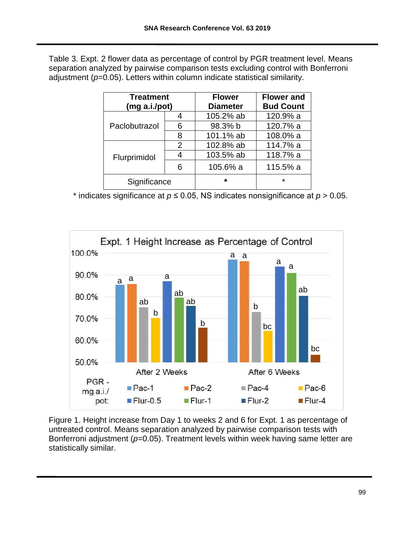Table 3. Expt. 2 flower data as percentage of control by PGR treatment level. Means separation analyzed by pairwise comparison tests excluding control with Bonferroni adjustment (*p*=0.05). Letters within column indicate statistical similarity.

| <b>Treatment</b> |   | <b>Flower</b>   | <b>Flower and</b> |
|------------------|---|-----------------|-------------------|
| (mg a.i.pot)     |   | <b>Diameter</b> | <b>Bud Count</b>  |
| Paclobutrazol    |   | 105.2% ab       | 120.9% a          |
|                  | 6 | 98.3% b         | 120.7% a          |
|                  | 8 | 101.1% ab       | 108.0% a          |
| Flurprimidol     | 2 | 102.8% ab       | 114.7% a          |
|                  |   | 103.5% ab       | 118.7% a          |
|                  | հ | 105.6% a        | 115.5% a          |
| Significance     |   | $\star$         | $\star$           |

\* indicates significance at  $p \le 0.05$ , NS indicates nonsignificance at  $p > 0.05$ .



Figure 1. Height increase from Day 1 to weeks 2 and 6 for Expt. 1 as percentage of untreated control. Means separation analyzed by pairwise comparison tests with Bonferroni adjustment ( $p=0.05$ ). Treatment levels within week having same letter are statistically similar.